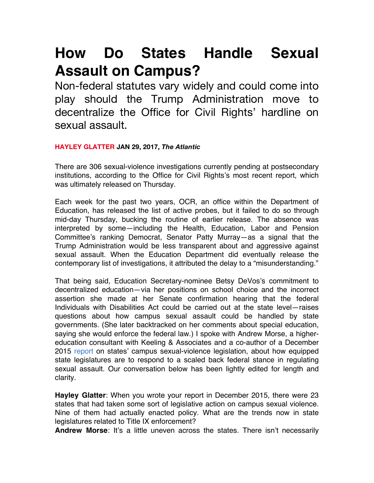## **How Do States Handle Sexual Assault on Campus?**

Non-federal statutes vary widely and could come into play should the Trump Administration move to decentralize the Office for Civil Rights' hardline on sexual assault.

## **HAYLEY GLATTER JAN 29, 2017, The Atlantic**

There are 306 sexual-violence investigations currently pending at postsecondary institutions, according to the Office for Civil Rights's most recent report, which was ultimately released on Thursday.

Each week for the past two years, OCR, an office within the Department of Education, has released the list of active probes, but it failed to do so through mid-day Thursday, bucking the routine of earlier release. The absence was interpreted by some—including the Health, Education, Labor and Pension Committee's ranking Democrat, Senator Patty Murray—as a signal that the Trump Administration would be less transparent about and aggressive against sexual assault. When the Education Department did eventually release the contemporary list of investigations, it attributed the delay to a "misunderstanding."

That being said, Education Secretary-nominee Betsy DeVos's commitment to decentralized education—via her positions on school choice and the incorrect assertion she made at her Senate confirmation hearing that the federal Individuals with Disabilities Act could be carried out at the state level—raises questions about how campus sexual assault could be handled by state governments. (She later backtracked on her comments about special education, saying she would enforce the federal law.) I spoke with Andrew Morse, a highereducation consultant with Keeling & Associates and a co-author of a December 2015 report on states' campus sexual-violence legislation, about how equipped state legislatures are to respond to a scaled back federal stance in regulating sexual assault. Our conversation below has been lightly edited for length and clarity.

**Hayley Glatter**: When you wrote your report in December 2015, there were 23 states that had taken some sort of legislative action on campus sexual violence. Nine of them had actually enacted policy. What are the trends now in state legislatures related to Title IX enforcement?

**Andrew Morse**: It's a little uneven across the states. There isn't necessarily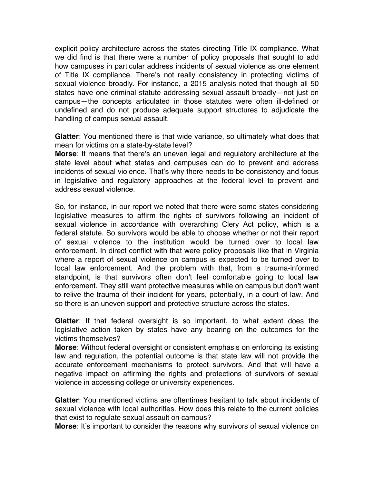explicit policy architecture across the states directing Title IX compliance. What we did find is that there were a number of policy proposals that sought to add how campuses in particular address incidents of sexual violence as one element of Title IX compliance. There's not really consistency in protecting victims of sexual violence broadly. For instance, a 2015 analysis noted that though all 50 states have one criminal statute addressing sexual assault broadly—not just on campus—the concepts articulated in those statutes were often ill-defined or undefined and do not produce adequate support structures to adjudicate the handling of campus sexual assault.

**Glatter**: You mentioned there is that wide variance, so ultimately what does that mean for victims on a state-by-state level?

**Morse**: It means that there's an uneven legal and regulatory architecture at the state level about what states and campuses can do to prevent and address incidents of sexual violence. That's why there needs to be consistency and focus in legislative and regulatory approaches at the federal level to prevent and address sexual violence.

So, for instance, in our report we noted that there were some states considering legislative measures to affirm the rights of survivors following an incident of sexual violence in accordance with overarching Clery Act policy, which is a federal statute. So survivors would be able to choose whether or not their report of sexual violence to the institution would be turned over to local law enforcement. In direct conflict with that were policy proposals like that in Virginia where a report of sexual violence on campus is expected to be turned over to local law enforcement. And the problem with that, from a trauma-informed standpoint, is that survivors often don't feel comfortable going to local law enforcement. They still want protective measures while on campus but don't want to relive the trauma of their incident for years, potentially, in a court of law. And so there is an uneven support and protective structure across the states.

**Glatter**: If that federal oversight is so important, to what extent does the legislative action taken by states have any bearing on the outcomes for the victims themselves?

**Morse**: Without federal oversight or consistent emphasis on enforcing its existing law and regulation, the potential outcome is that state law will not provide the accurate enforcement mechanisms to protect survivors. And that will have a negative impact on affirming the rights and protections of survivors of sexual violence in accessing college or university experiences.

**Glatter**: You mentioned victims are oftentimes hesitant to talk about incidents of sexual violence with local authorities. How does this relate to the current policies that exist to regulate sexual assault on campus?

**Morse**: It's important to consider the reasons why survivors of sexual violence on